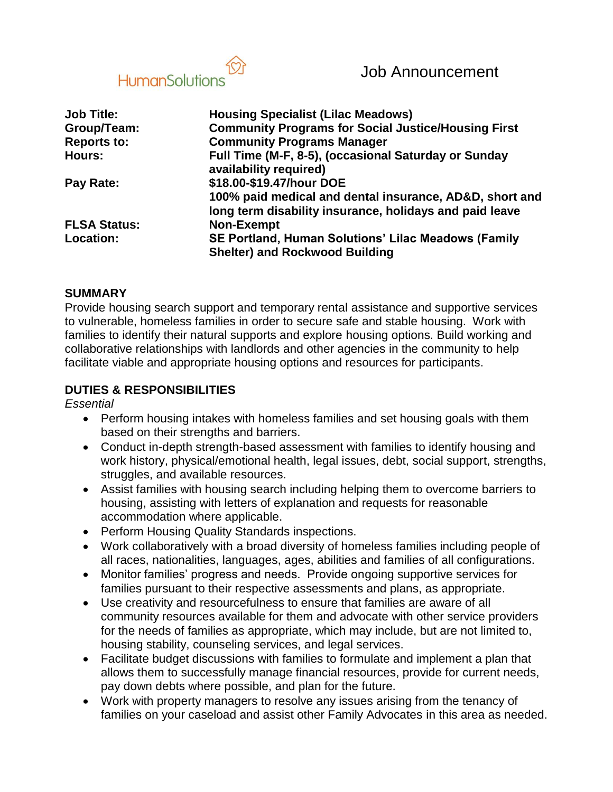

| <b>Job Title:</b>   | <b>Housing Specialist (Lilac Meadows)</b>                                                                          |
|---------------------|--------------------------------------------------------------------------------------------------------------------|
| Group/Team:         | <b>Community Programs for Social Justice/Housing First</b>                                                         |
| <b>Reports to:</b>  | <b>Community Programs Manager</b>                                                                                  |
| <b>Hours:</b>       | Full Time (M-F, 8-5), (occasional Saturday or Sunday<br>availability required)                                     |
| Pay Rate:           | \$18.00-\$19.47/hour DOE                                                                                           |
|                     | 100% paid medical and dental insurance, AD&D, short and<br>long term disability insurance, holidays and paid leave |
| <b>FLSA Status:</b> | <b>Non-Exempt</b>                                                                                                  |
| Location:           | SE Portland, Human Solutions' Lilac Meadows (Family                                                                |
|                     | <b>Shelter) and Rockwood Building</b>                                                                              |

#### **SUMMARY**

Provide housing search support and temporary rental assistance and supportive services to vulnerable, homeless families in order to secure safe and stable housing. Work with families to identify their natural supports and explore housing options. Build working and collaborative relationships with landlords and other agencies in the community to help facilitate viable and appropriate housing options and resources for participants.

#### **DUTIES & RESPONSIBILITIES**

*Essential*

- Perform housing intakes with homeless families and set housing goals with them based on their strengths and barriers.
- Conduct in-depth strength-based assessment with families to identify housing and work history, physical/emotional health, legal issues, debt, social support, strengths, struggles, and available resources.
- Assist families with housing search including helping them to overcome barriers to housing, assisting with letters of explanation and requests for reasonable accommodation where applicable.
- Perform Housing Quality Standards inspections.
- Work collaboratively with a broad diversity of homeless families including people of all races, nationalities, languages, ages, abilities and families of all configurations.
- Monitor families' progress and needs. Provide ongoing supportive services for families pursuant to their respective assessments and plans, as appropriate.
- Use creativity and resourcefulness to ensure that families are aware of all community resources available for them and advocate with other service providers for the needs of families as appropriate, which may include, but are not limited to, housing stability, counseling services, and legal services.
- Facilitate budget discussions with families to formulate and implement a plan that allows them to successfully manage financial resources, provide for current needs, pay down debts where possible, and plan for the future.
- Work with property managers to resolve any issues arising from the tenancy of families on your caseload and assist other Family Advocates in this area as needed.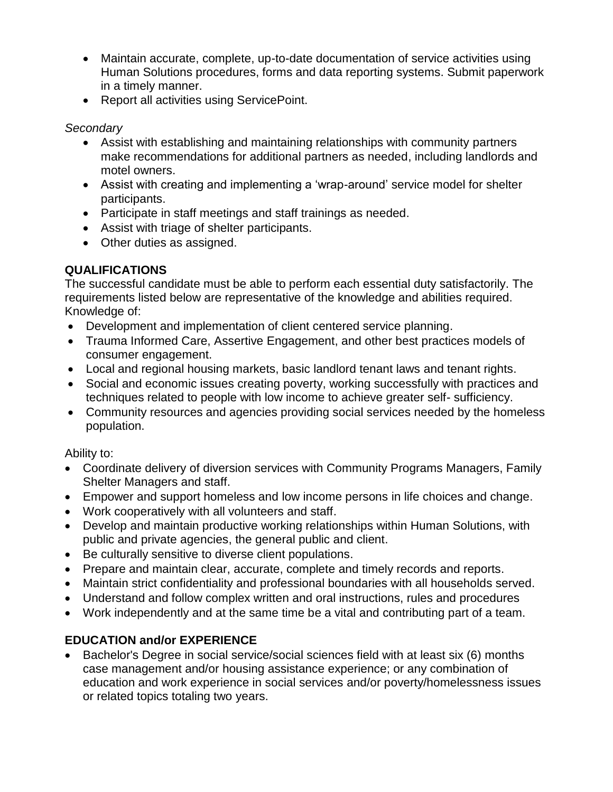- Maintain accurate, complete, up-to-date documentation of service activities using Human Solutions procedures, forms and data reporting systems. Submit paperwork in a timely manner.
- Report all activities using ServicePoint.

## *Secondary*

- Assist with establishing and maintaining relationships with community partners make recommendations for additional partners as needed, including landlords and motel owners.
- Assist with creating and implementing a 'wrap-around' service model for shelter participants.
- Participate in staff meetings and staff trainings as needed.
- Assist with triage of shelter participants.
- Other duties as assigned.

# **QUALIFICATIONS**

The successful candidate must be able to perform each essential duty satisfactorily. The requirements listed below are representative of the knowledge and abilities required. Knowledge of:

- Development and implementation of client centered service planning.
- Trauma Informed Care, Assertive Engagement, and other best practices models of consumer engagement.
- Local and regional housing markets, basic landlord tenant laws and tenant rights.
- Social and economic issues creating poverty, working successfully with practices and techniques related to people with low income to achieve greater self- sufficiency.
- Community resources and agencies providing social services needed by the homeless population.

## Ability to:

- Coordinate delivery of diversion services with Community Programs Managers, Family Shelter Managers and staff.
- Empower and support homeless and low income persons in life choices and change.
- Work cooperatively with all volunteers and staff.
- Develop and maintain productive working relationships within Human Solutions, with public and private agencies, the general public and client.
- Be culturally sensitive to diverse client populations.
- Prepare and maintain clear, accurate, complete and timely records and reports.
- Maintain strict confidentiality and professional boundaries with all households served.
- Understand and follow complex written and oral instructions, rules and procedures
- Work independently and at the same time be a vital and contributing part of a team.

# **EDUCATION and/or EXPERIENCE**

 Bachelor's Degree in social service/social sciences field with at least six (6) months case management and/or housing assistance experience; or any combination of education and work experience in social services and/or poverty/homelessness issues or related topics totaling two years.